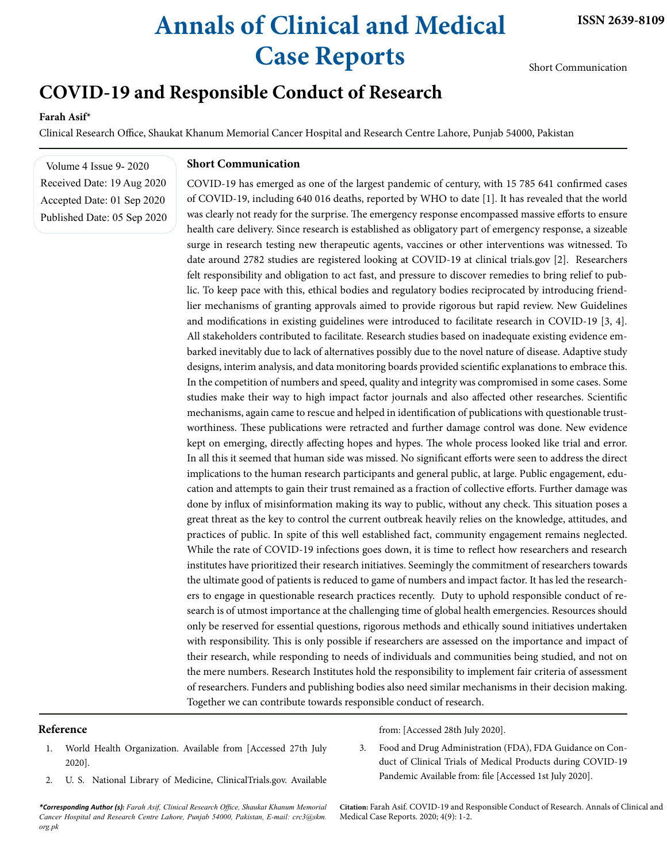# **Annals of Clinical and Medical Case Reports**

Short Communication

# **COVID-19 and Responsible Conduct of Research**

## **Farah Asif\***

Clinical Research Office, Shaukat Khanum Memorial Cancer Hospital and Research Centre Lahore, Punjab 54000, Pakistan

Volume 4 Issue 9- 2020 Received Date: 19 Aug 2020 Accepted Date: 01 Sep 2020 Published Date: 05 Sep 2020

### **Short Communication**

COVID-19 has emerged as one of the largest pandemic of century, with 15 785 641 confirmed cases of COVID-19, including 640 016 deaths, reported by WHO to date [1]. It has revealed that the world was clearly not ready for the surprise. The emergency response encompassed massive efforts to ensure health care delivery. Since research is established as obligatory part of emergency response, a sizeable surge in research testing new therapeutic agents, vaccines or other interventions was witnessed. To date around 2782 studies are registered looking at COVID-19 at clinical trials.gov [2]. Researchers felt responsibility and obligation to act fast, and pressure to discover remedies to bring relief to public. To keep pace with this, ethical bodies and regulatory bodies reciprocated by introducing friendlier mechanisms of granting approvals aimed to provide rigorous but rapid review. New Guidelines and modifications in existing guidelines were introduced to facilitate research in COVID-19 [3, 4]. All stakeholders contributed to facilitate. Research studies based on inadequate existing evidence embarked inevitably due to lack of alternatives possibly due to the novel nature of disease. Adaptive study designs, interim analysis, and data monitoring boards provided scientific explanations to embrace this. In the competition of numbers and speed, quality and integrity was compromised in some cases. Some studies make their way to high impact factor journals and also affected other researches. Scientific mechanisms, again came to rescue and helped in identification of publications with questionable trustworthiness. These publications were retracted and further damage control was done. New evidence kept on emerging, directly affecting hopes and hypes. The whole process looked like trial and error. In all this it seemed that human side was missed. No significant efforts were seen to address the direct implications to the human research participants and general public, at large. Public engagement, education and attempts to gain their trust remained as a fraction of collective efforts. Further damage was done by influx of misinformation making its way to public, without any check. This situation poses a great threat as the key to control the current outbreak heavily relies on the knowledge, attitudes, and practices of public. In spite of this well established fact, community engagement remains neglected. While the rate of COVID-19 infections goes down, it is time to reflect how researchers and research institutes have prioritized their research initiatives. Seemingly the commitment of researchers towards the ultimate good of patients is reduced to game of numbers and impact factor. It has led the researchers to engage in questionable research practices recently. Duty to uphold responsible conduct of research is of utmost importance at the challenging time of global health emergencies. Resources should only be reserved for essential questions, rigorous methods and ethically sound initiatives undertaken with responsibility. This is only possible if researchers are assessed on the importance and impact of their research, while responding to needs of individuals and communities being studied, and not on the mere numbers. Research Institutes hold the responsibility to implement fair criteria of assessment of researchers. Funders and publishing bodies also need similar mechanisms in their decision making. Together we can contribute towards responsible conduct of research.

#### **Reference**

- 1. World Health Organization. Available from [Accessed 27th July 2020].
- 2. U. S. National Library of Medicine, ClinicalTrials.gov. Available

*\*Corresponding Author (s): Farah Asif, Clinical Research Office, Shaukat Khanum Memorial Cancer Hospital and Research Centre Lahore, Punjab 54000, Pakistan, E-mail: [crc3@skm.](mailto:crc3@skm.org.pk) [org.pk](mailto:crc3@skm.org.pk)*

from: [Accessed 28th July 2020].

3. Food and Drug Administration (FDA), FDA Guidance on Conduct of Clinical Trials of Medical Products during COVID-19 Pandemic Available from: file [Accessed 1st July 2020].

**Citation:** Farah Asif. COVID-19 and Responsible Conduct of Research. Annals of Clinical and Medical Case Reports. 2020; 4(9): 1-2.